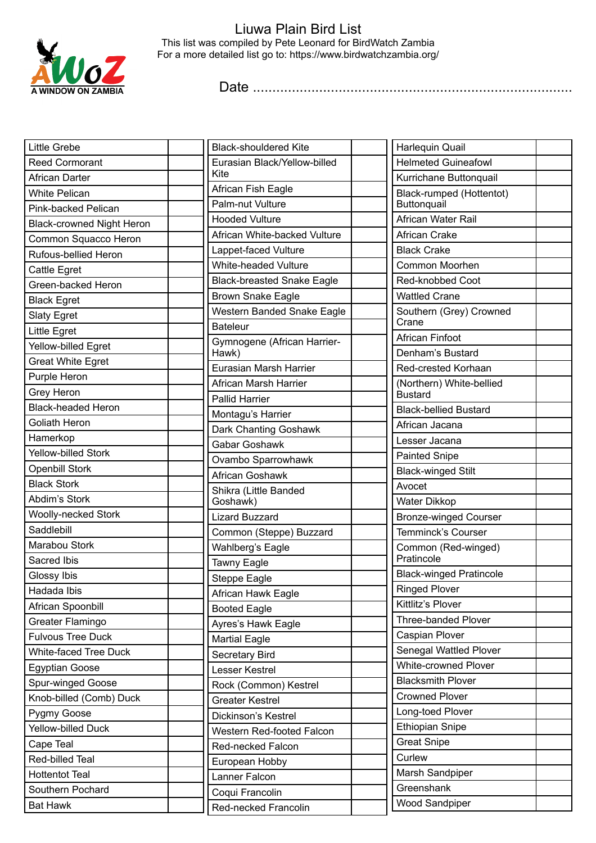

## Liuwa Plain Bird List This list was compiled by Pete Leonard for BirdWatch Zambia For a more detailed list go to: https://www.birdwatchzambia.org/

Date ..................................................................................

| <b>Little Grebe</b>              | <b>Black-shouldered Kite</b>           | Harlequin Quail                            |
|----------------------------------|----------------------------------------|--------------------------------------------|
| <b>Reed Cormorant</b>            | Eurasian Black/Yellow-billed           | <b>Helmeted Guineafowl</b>                 |
| African Darter                   | Kite                                   | Kurrichane Buttonquail                     |
| <b>White Pelican</b>             | African Fish Eagle                     | Black-rumped (Hottentot)                   |
| Pink-backed Pelican              | Palm-nut Vulture                       | Buttonquail                                |
| <b>Black-crowned Night Heron</b> | <b>Hooded Vulture</b>                  | African Water Rail                         |
| Common Squacco Heron             | African White-backed Vulture           | African Crake                              |
| Rufous-bellied Heron             | Lappet-faced Vulture                   | <b>Black Crake</b>                         |
| Cattle Egret                     | White-headed Vulture                   | Common Moorhen                             |
| Green-backed Heron               | <b>Black-breasted Snake Eagle</b>      | Red-knobbed Coot                           |
| <b>Black Egret</b>               | <b>Brown Snake Eagle</b>               | <b>Wattled Crane</b>                       |
| <b>Slaty Egret</b>               | Western Banded Snake Eagle             | Southern (Grey) Crowned                    |
| Little Egret                     | <b>Bateleur</b>                        | Crane                                      |
| Yellow-billed Egret              | Gymnogene (African Harrier-            | <b>African Finfoot</b>                     |
| <b>Great White Egret</b>         | Hawk)                                  | Denham's Bustard                           |
| Purple Heron                     | Eurasian Marsh Harrier                 | Red-crested Korhaan                        |
| Grey Heron                       | African Marsh Harrier                  | (Northern) White-bellied<br><b>Bustard</b> |
| <b>Black-headed Heron</b>        | <b>Pallid Harrier</b>                  | <b>Black-bellied Bustard</b>               |
| Goliath Heron                    | Montagu's Harrier                      | African Jacana                             |
| Hamerkop                         | Dark Chanting Goshawk<br>Gabar Goshawk | Lesser Jacana                              |
| <b>Yellow-billed Stork</b>       |                                        | <b>Painted Snipe</b>                       |
| <b>Openbill Stork</b>            | Ovambo Sparrowhawk                     | <b>Black-winged Stilt</b>                  |
| <b>Black Stork</b>               | African Goshawk                        | Avocet                                     |
| Abdim's Stork                    | Shikra (Little Banded<br>Goshawk)      | Water Dikkop                               |
| <b>Woolly-necked Stork</b>       | <b>Lizard Buzzard</b>                  | <b>Bronze-winged Courser</b>               |
| Saddlebill                       | Common (Steppe) Buzzard                | Temminck's Courser                         |
| Marabou Stork                    | Wahlberg's Eagle                       | Common (Red-winged)                        |
| Sacred Ibis                      | Tawny Eagle                            | Pratincole                                 |
| Glossy Ibis                      | <b>Steppe Eagle</b>                    | <b>Black-winged Pratincole</b>             |
| Hadada Ibis                      | African Hawk Eagle                     | Ringed Plover                              |
| African Spoonbill                | <b>Booted Eagle</b>                    | Kittlitz's Plover                          |
| Greater Flamingo                 | Ayres's Hawk Eagle                     | Three-banded Plover                        |
| <b>Fulvous Tree Duck</b>         | <b>Martial Eagle</b>                   | Caspian Plover                             |
| White-faced Tree Duck            | Secretary Bird                         | Senegal Wattled Plover                     |
| <b>Egyptian Goose</b>            | Lesser Kestrel                         | White-crowned Plover                       |
| Spur-winged Goose                | Rock (Common) Kestrel                  | <b>Blacksmith Plover</b>                   |
| Knob-billed (Comb) Duck          | <b>Greater Kestrel</b>                 | <b>Crowned Plover</b>                      |
| Pygmy Goose                      | Dickinson's Kestrel                    | Long-toed Plover                           |
| Yellow-billed Duck               | Western Red-footed Falcon              | <b>Ethiopian Snipe</b>                     |
| Cape Teal                        | Red-necked Falcon                      | <b>Great Snipe</b>                         |
| Red-billed Teal                  | European Hobby                         | Curlew                                     |
| <b>Hottentot Teal</b>            | Lanner Falcon                          | Marsh Sandpiper                            |
| Southern Pochard                 | Coqui Francolin                        | Greenshank                                 |
| <b>Bat Hawk</b>                  | Red-necked Francolin                   | <b>Wood Sandpiper</b>                      |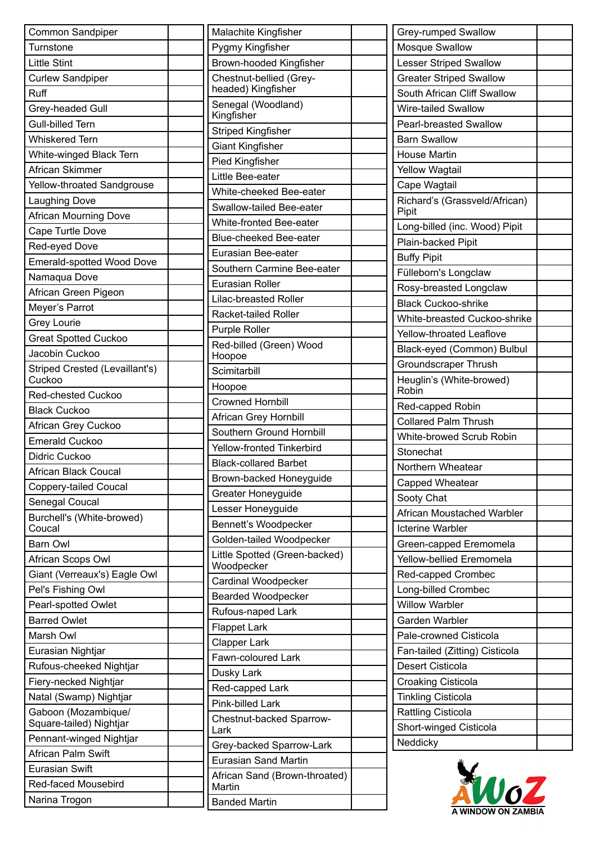| Common Sandpiper                 | Malachite Kingfisher              |
|----------------------------------|-----------------------------------|
| Turnstone                        | Pygmy Kingfisher                  |
| <b>Little Stint</b>              | Brown-hooded Kingfisher           |
| <b>Curlew Sandpiper</b>          | Chestnut-bellied (Grey-           |
| Ruff                             | headed) Kingfisher                |
| Grey-headed Gull                 | Senegal (Woodland)<br>Kingfisher  |
| Gull-billed Tern                 | Striped Kingfisher                |
| <b>Whiskered Tern</b>            | <b>Giant Kingfisher</b>           |
| White-winged Black Tern          | Pied Kingfisher                   |
| African Skimmer                  | Little Bee-eater                  |
| Yellow-throated Sandgrouse       | White-cheeked Bee-eater           |
| <b>Laughing Dove</b>             | Swallow-tailed Bee-eater          |
| <b>African Mourning Dove</b>     | White-fronted Bee-eater           |
| Cape Turtle Dove                 | <b>Blue-cheeked Bee-eater</b>     |
| Red-eyed Dove                    | Eurasian Bee-eater                |
| <b>Emerald-spotted Wood Dove</b> |                                   |
| Namaqua Dove                     | Southern Carmine Bee-eater        |
| African Green Pigeon             | <b>Eurasian Roller</b>            |
| Meyer's Parrot                   | <b>Lilac-breasted Roller</b>      |
| Grey Lourie                      | Racket-tailed Roller              |
| <b>Great Spotted Cuckoo</b>      | Purple Roller                     |
| Jacobin Cuckoo                   | Red-billed (Green) Wood<br>Hoopoe |
| Striped Crested (Levaillant's)   | Scimitarbill                      |
| Cuckoo                           | Hoopoe                            |
| <b>Red-chested Cuckoo</b>        | <b>Crowned Hornbill</b>           |
| <b>Black Cuckoo</b>              | African Grey Hornbill             |
| African Grey Cuckoo              | Southern Ground Hornbill          |
| <b>Emerald Cuckoo</b>            | <b>Yellow-fronted Tinkerbird</b>  |
| Didric Cuckoo                    | <b>Black-collared Barbet</b>      |
| African Black Coucal             | Brown-backed Honeyguide           |
| Coppery-tailed Coucal            | Greater Honeyguide                |
| Senegal Coucal                   | Lesser Honeyguide                 |
| Burchell's (White-browed)        | Bennett's Woodpecker              |
| Coucal                           | Golden-tailed Woodpecker          |
| <b>Barn Owl</b>                  | Little Spotted (Green-backed)     |
| African Scops Owl                | Woodpecker                        |
| Giant (Verreaux's) Eagle Owl     | Cardinal Woodpecker               |
| Pel's Fishing Owl                | <b>Bearded Woodpecker</b>         |
| Pearl-spotted Owlet              | Rufous-naped Lark                 |
| <b>Barred Owlet</b>              | <b>Flappet Lark</b>               |
| Marsh Owl                        | <b>Clapper Lark</b>               |
| Eurasian Nightjar                | Fawn-coloured Lark                |
| Rufous-cheeked Nightjar          | Dusky Lark                        |
| Fiery-necked Nightjar            | Red-capped Lark                   |
| Natal (Swamp) Nightjar           | Pink-billed Lark                  |
| Gaboon (Mozambique/              | Chestnut-backed Sparrow-          |
| Square-tailed) Nightjar          | Lark                              |
| Pennant-winged Nightjar          | Grey-backed Sparrow-Lark          |
| <b>African Palm Swift</b>        | Eurasian Sand Martin              |
| <b>Eurasian Swift</b>            | African Sand (Brown-throated)     |
| Red-faced Mousebird              | Martin                            |
| Narina Trogon                    | <b>Banded Martin</b>              |

| Grey-rumped Swallow                    |  |
|----------------------------------------|--|
| <b>Mosque Swallow</b>                  |  |
| <b>Lesser Striped Swallow</b>          |  |
| <b>Greater Striped Swallow</b>         |  |
| South African Cliff Swallow            |  |
| Wire-tailed Swallow                    |  |
| Pearl-breasted Swallow                 |  |
| <b>Barn Swallow</b>                    |  |
| <b>House Martin</b>                    |  |
| <b>Yellow Wagtail</b>                  |  |
| Cape Wagtail                           |  |
| Richard's (Grassveld/African)<br>Pipit |  |
| Long-billed (inc. Wood) Pipit          |  |
| Plain-backed Pipit                     |  |
| <b>Buffy Pipit</b>                     |  |
| Fülleborn's Longclaw                   |  |
| Rosy-breasted Longclaw                 |  |
| <b>Black Cuckoo-shrike</b>             |  |
| White-breasted Cuckoo-shrike           |  |
| Yellow-throated Leaflove               |  |
| Black-eyed (Common) Bulbul             |  |
| Groundscraper Thrush                   |  |
| Heuglin's (White-browed)<br>Robin      |  |
| Red-capped Robin                       |  |
| <b>Collared Palm Thrush</b>            |  |
| White-browed Scrub Robin               |  |
| Stonechat                              |  |
| Northern Wheatear                      |  |
| Capped Wheatear                        |  |
| Sooty Chat                             |  |
| African Moustached Warbler             |  |
| <b>Icterine Warbler</b>                |  |
| Green-capped Eremomela                 |  |
| Yellow-bellied Eremomela               |  |
| Red-capped Crombec                     |  |
| Long-billed Crombec                    |  |
| <b>Willow Warbler</b>                  |  |
| Garden Warbler                         |  |
| Pale-crowned Cisticola                 |  |
| Fan-tailed (Zitting) Cisticola         |  |
| <b>Desert Cisticola</b>                |  |
| <b>Croaking Cisticola</b>              |  |
| <b>Tinkling Cisticola</b>              |  |
| <b>Rattling Cisticola</b>              |  |
|                                        |  |
| Short-winged Cisticola                 |  |